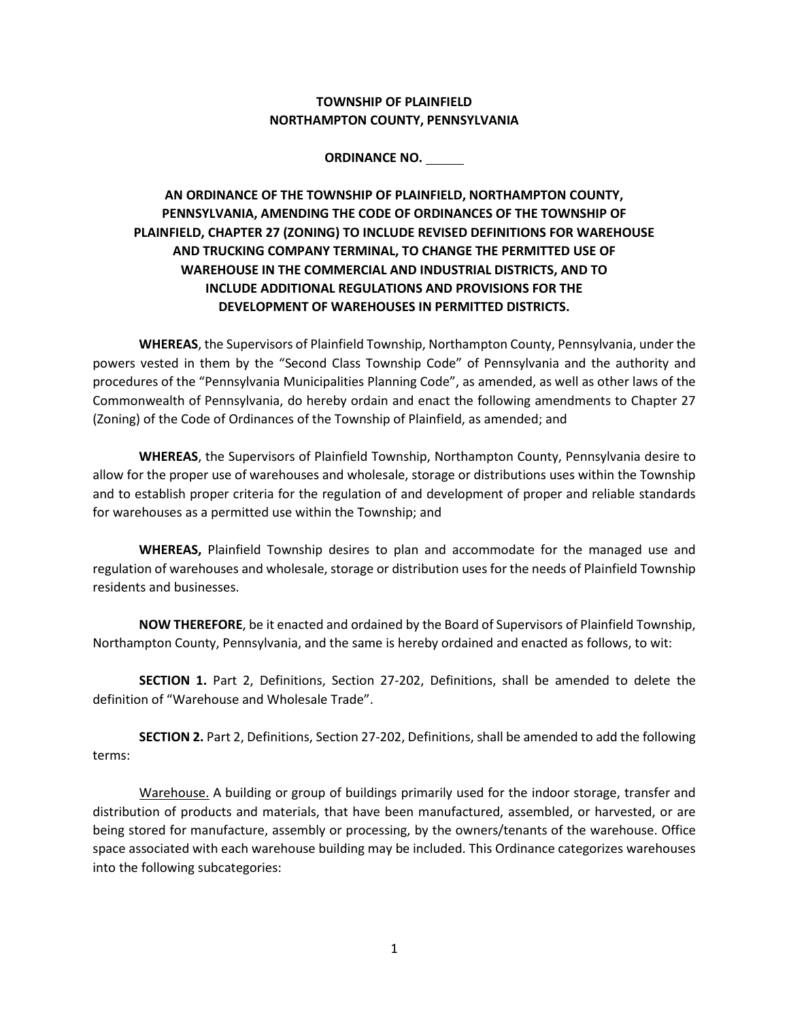## **TOWNSHIP OF PLAINFIELD NORTHAMPTON COUNTY, PENNSYLVANIA**

## **ORDINANCE NO.**

## **AN ORDINANCE OF THE TOWNSHIP OF PLAINFIELD, NORTHAMPTON COUNTY, PENNSYLVANIA, AMENDING THE CODE OF ORDINANCES OF THE TOWNSHIP OF PLAINFIELD, CHAPTER 27 (ZONING) TO INCLUDE REVISED DEFINITIONS FOR WAREHOUSE AND TRUCKING COMPANY TERMINAL, TO CHANGE THE PERMITTED USE OF WAREHOUSE IN THE COMMERCIAL AND INDUSTRIAL DISTRICTS, AND TO INCLUDE ADDITIONAL REGULATIONS AND PROVISIONS FOR THE DEVELOPMENT OF WAREHOUSES IN PERMITTED DISTRICTS.**

**WHEREAS**, the Supervisors of Plainfield Township, Northampton County, Pennsylvania, under the powers vested in them by the "Second Class Township Code" of Pennsylvania and the authority and procedures of the "Pennsylvania Municipalities Planning Code", as amended, as well as other laws of the Commonwealth of Pennsylvania, do hereby ordain and enact the following amendments to Chapter 27 (Zoning) of the Code of Ordinances of the Township of Plainfield, as amended; and

**WHEREAS**, the Supervisors of Plainfield Township, Northampton County, Pennsylvania desire to allow for the proper use of warehouses and wholesale, storage or distributions uses within the Township and to establish proper criteria for the regulation of and development of proper and reliable standards for warehouses as a permitted use within the Township; and

**WHEREAS,** Plainfield Township desires to plan and accommodate for the managed use and regulation of warehouses and wholesale, storage or distribution uses for the needs of Plainfield Township residents and businesses.

**NOW THEREFORE**, be it enacted and ordained by the Board of Supervisors of Plainfield Township, Northampton County, Pennsylvania, and the same is hereby ordained and enacted as follows, to wit:

 **SECTION 1.** Part 2, Definitions, Section 27-202, Definitions, shall be amended to delete the definition of "Warehouse and Wholesale Trade".

**SECTION 2.** Part 2, Definitions, Section 27-202, Definitions, shall be amended to add the following terms:

Warehouse. A building or group of buildings primarily used for the indoor storage, transfer and distribution of products and materials, that have been manufactured, assembled, or harvested, or are being stored for manufacture, assembly or processing, by the owners/tenants of the warehouse. Office space associated with each warehouse building may be included. This Ordinance categorizes warehouses into the following subcategories: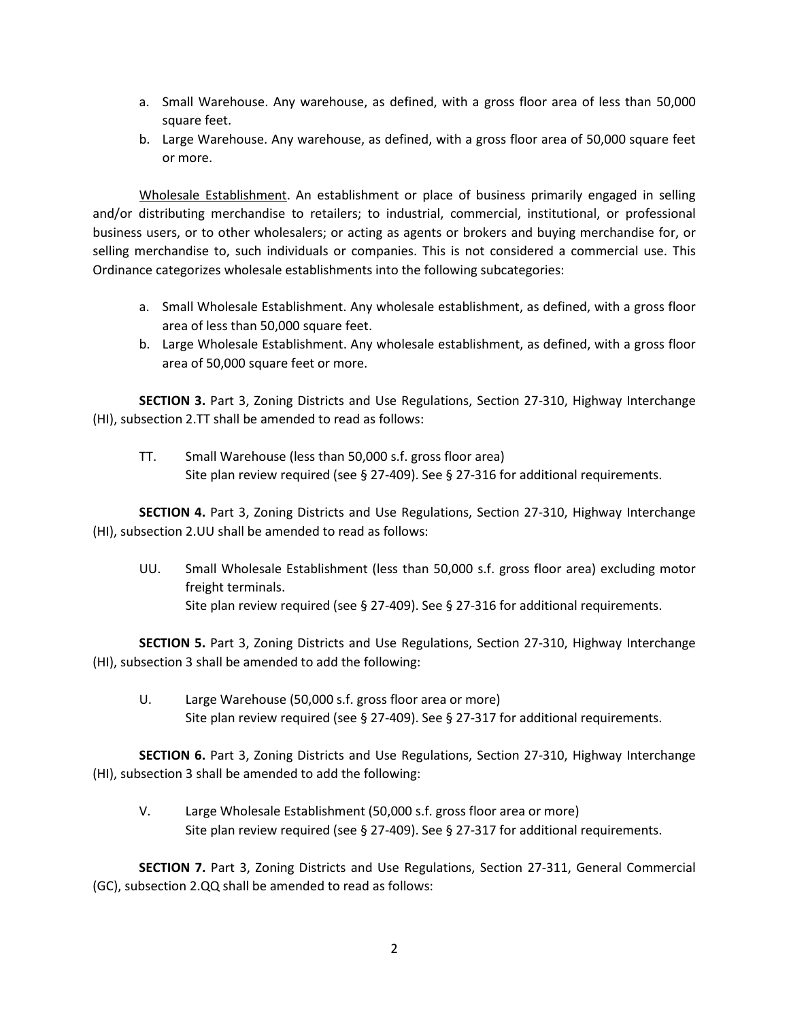- a. Small Warehouse. Any warehouse, as defined, with a gross floor area of less than 50,000 square feet.
- b. Large Warehouse. Any warehouse, as defined, with a gross floor area of 50,000 square feet or more.

Wholesale Establishment. An establishment or place of business primarily engaged in selling and/or distributing merchandise to retailers; to industrial, commercial, institutional, or professional business users, or to other wholesalers; or acting as agents or brokers and buying merchandise for, or selling merchandise to, such individuals or companies. This is not considered a commercial use. This Ordinance categorizes wholesale establishments into the following subcategories:

- a. Small Wholesale Establishment. Any wholesale establishment, as defined, with a gross floor area of less than 50,000 square feet.
- b. Large Wholesale Establishment. Any wholesale establishment, as defined, with a gross floor area of 50,000 square feet or more.

**SECTION 3.** Part 3, Zoning Districts and Use Regulations, Section 27-310, Highway Interchange (HI), subsection 2.TT shall be amended to read as follows:

TT. Small Warehouse (less than 50,000 s.f. gross floor area) Site plan review required (see § 27-409). See § 27-316 for additional requirements.

**SECTION 4.** Part 3, Zoning Districts and Use Regulations, Section 27-310, Highway Interchange (HI), subsection 2.UU shall be amended to read as follows:

UU. Small Wholesale Establishment (less than 50,000 s.f. gross floor area) excluding motor freight terminals. Site plan review required (see § 27-409). See § 27-316 for additional requirements.

**SECTION 5.** Part 3, Zoning Districts and Use Regulations, Section 27-310, Highway Interchange (HI), subsection 3 shall be amended to add the following:

U. Large Warehouse (50,000 s.f. gross floor area or more) Site plan review required (see § 27-409). See § 27-317 for additional requirements.

**SECTION 6.** Part 3, Zoning Districts and Use Regulations, Section 27-310, Highway Interchange (HI), subsection 3 shall be amended to add the following:

V. Large Wholesale Establishment (50,000 s.f. gross floor area or more) Site plan review required (see § 27-409). See § 27-317 for additional requirements.

**SECTION 7.** Part 3, Zoning Districts and Use Regulations, Section 27-311, General Commercial (GC), subsection 2.QQ shall be amended to read as follows: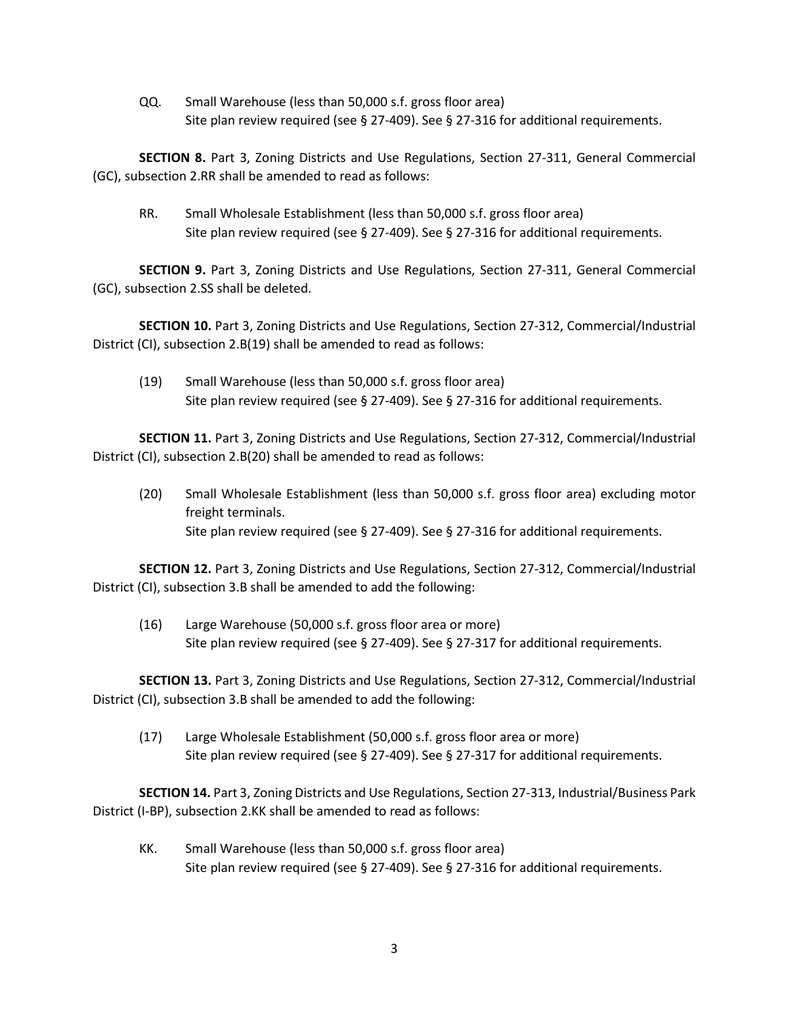QQ. Small Warehouse (less than 50,000 s.f. gross floor area) Site plan review required (see § 27-409). See § 27-316 for additional requirements.

**SECTION 8.** Part 3, Zoning Districts and Use Regulations, Section 27-311, General Commercial (GC), subsection 2.RR shall be amended to read as follows:

RR. Small Wholesale Establishment (less than 50,000 s.f. gross floor area) Site plan review required (see § 27-409). See § 27-316 for additional requirements.

**SECTION 9.** Part 3, Zoning Districts and Use Regulations, Section 27-311, General Commercial (GC), subsection 2.SS shall be deleted.

**SECTION 10.** Part 3, Zoning Districts and Use Regulations, Section 27-312, Commercial/Industrial District (CI), subsection 2.B(19) shall be amended to read as follows:

(19) Small Warehouse (less than 50,000 s.f. gross floor area) Site plan review required (see § 27-409). See § 27-316 for additional requirements.

**SECTION 11.** Part 3, Zoning Districts and Use Regulations, Section 27-312, Commercial/Industrial District (CI), subsection 2.B(20) shall be amended to read as follows:

(20) Small Wholesale Establishment (less than 50,000 s.f. gross floor area) excluding motor freight terminals. Site plan review required (see § 27-409). See § 27-316 for additional requirements.

**SECTION 12.** Part 3, Zoning Districts and Use Regulations, Section 27-312, Commercial/Industrial District (CI), subsection 3.B shall be amended to add the following:

(16) Large Warehouse (50,000 s.f. gross floor area or more) Site plan review required (see § 27-409). See § 27-317 for additional requirements.

**SECTION 13.** Part 3, Zoning Districts and Use Regulations, Section 27-312, Commercial/Industrial District (CI), subsection 3.B shall be amended to add the following:

(17) Large Wholesale Establishment (50,000 s.f. gross floor area or more) Site plan review required (see § 27-409). See § 27-317 for additional requirements.

**SECTION 14.** Part 3, Zoning Districts and Use Regulations, Section 27-313, Industrial/Business Park District (I-BP), subsection 2.KK shall be amended to read as follows:

KK. Small Warehouse (less than 50,000 s.f. gross floor area) Site plan review required (see § 27-409). See § 27-316 for additional requirements.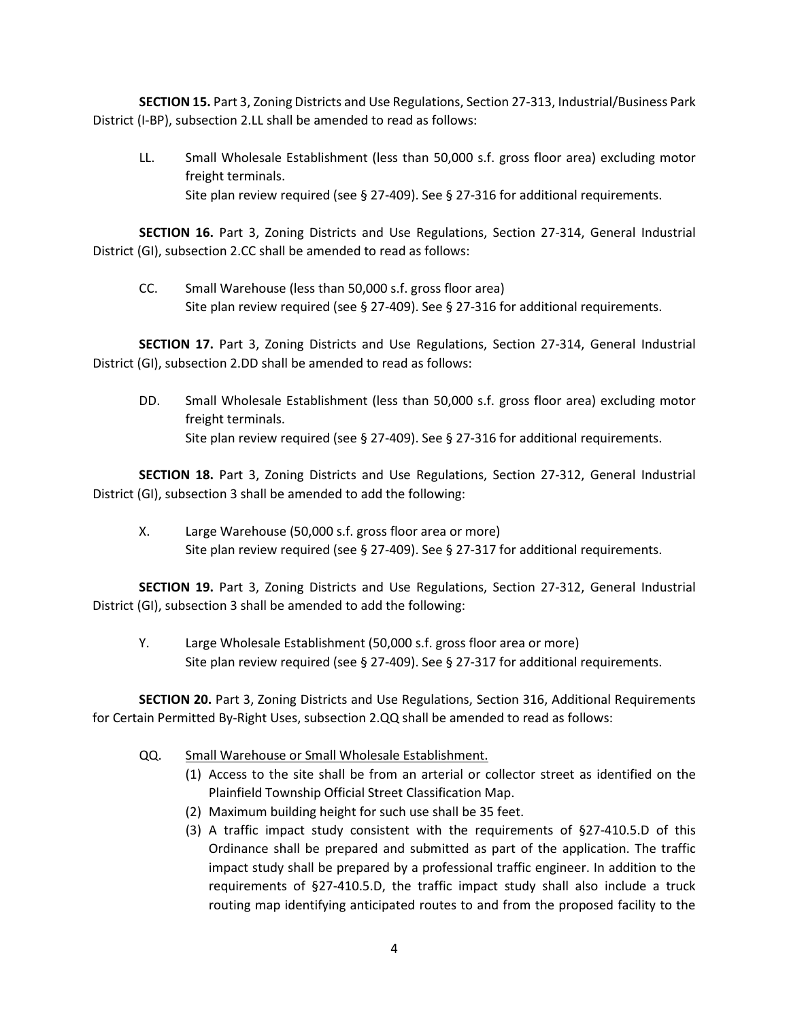**SECTION 15.** Part 3, Zoning Districts and Use Regulations, Section 27-313, Industrial/Business Park District (I-BP), subsection 2.LL shall be amended to read as follows:

LL. Small Wholesale Establishment (less than 50,000 s.f. gross floor area) excluding motor freight terminals. Site plan review required (see § 27-409). See § 27-316 for additional requirements.

**SECTION 16.** Part 3, Zoning Districts and Use Regulations, Section 27-314, General Industrial District (GI), subsection 2.CC shall be amended to read as follows:

CC. Small Warehouse (less than 50,000 s.f. gross floor area) Site plan review required (see § 27-409). See § 27-316 for additional requirements.

**SECTION 17.** Part 3, Zoning Districts and Use Regulations, Section 27-314, General Industrial District (GI), subsection 2.DD shall be amended to read as follows:

DD. Small Wholesale Establishment (less than 50,000 s.f. gross floor area) excluding motor freight terminals. Site plan review required (see § 27-409). See § 27-316 for additional requirements.

**SECTION 18.** Part 3, Zoning Districts and Use Regulations, Section 27-312, General Industrial District (GI), subsection 3 shall be amended to add the following:

X. Large Warehouse (50,000 s.f. gross floor area or more) Site plan review required (see § 27-409). See § 27-317 for additional requirements.

**SECTION 19.** Part 3, Zoning Districts and Use Regulations, Section 27-312, General Industrial District (GI), subsection 3 shall be amended to add the following:

Y. Large Wholesale Establishment (50,000 s.f. gross floor area or more) Site plan review required (see § 27-409). See § 27-317 for additional requirements.

**SECTION 20.** Part 3, Zoning Districts and Use Regulations, Section 316, Additional Requirements for Certain Permitted By-Right Uses, subsection 2.QQ shall be amended to read as follows:

- QQ. Small Warehouse or Small Wholesale Establishment.
	- (1) Access to the site shall be from an arterial or collector street as identified on the Plainfield Township Official Street Classification Map.
	- (2) Maximum building height for such use shall be 35 feet.
	- (3) A traffic impact study consistent with the requirements of §27-410.5.D of this Ordinance shall be prepared and submitted as part of the application. The traffic impact study shall be prepared by a professional traffic engineer. In addition to the requirements of §27-410.5.D, the traffic impact study shall also include a truck routing map identifying anticipated routes to and from the proposed facility to the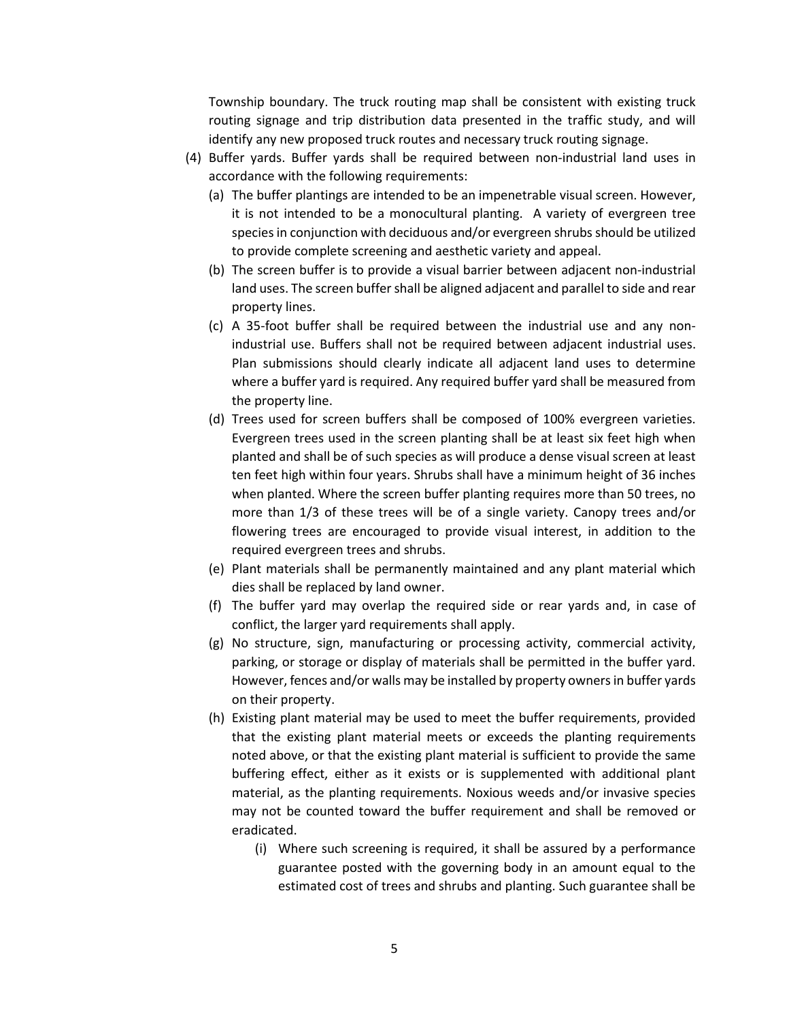Township boundary. The truck routing map shall be consistent with existing truck routing signage and trip distribution data presented in the traffic study, and will identify any new proposed truck routes and necessary truck routing signage.

- (4) Buffer yards. Buffer yards shall be required between non-industrial land uses in accordance with the following requirements:
	- (a) The buffer plantings are intended to be an impenetrable visual screen. However, it is not intended to be a monocultural planting. A variety of evergreen tree species in conjunction with deciduous and/or evergreen shrubs should be utilized to provide complete screening and aesthetic variety and appeal.
	- (b) The screen buffer is to provide a visual barrier between adjacent non-industrial land uses. The screen buffer shall be aligned adjacent and parallel to side and rear property lines.
	- (c) A 35-foot buffer shall be required between the industrial use and any nonindustrial use. Buffers shall not be required between adjacent industrial uses. Plan submissions should clearly indicate all adjacent land uses to determine where a buffer yard is required. Any required buffer yard shall be measured from the property line.
	- (d) Trees used for screen buffers shall be composed of 100% evergreen varieties. Evergreen trees used in the screen planting shall be at least six feet high when planted and shall be of such species as will produce a dense visual screen at least ten feet high within four years. Shrubs shall have a minimum height of 36 inches when planted. Where the screen buffer planting requires more than 50 trees, no more than 1/3 of these trees will be of a single variety. Canopy trees and/or flowering trees are encouraged to provide visual interest, in addition to the required evergreen trees and shrubs.
	- (e) Plant materials shall be permanently maintained and any plant material which dies shall be replaced by land owner.
	- (f) The buffer yard may overlap the required side or rear yards and, in case of conflict, the larger yard requirements shall apply.
	- (g) No structure, sign, manufacturing or processing activity, commercial activity, parking, or storage or display of materials shall be permitted in the buffer yard. However, fences and/or walls may be installed by property owners in buffer yards on their property.
	- (h) Existing plant material may be used to meet the buffer requirements, provided that the existing plant material meets or exceeds the planting requirements noted above, or that the existing plant material is sufficient to provide the same buffering effect, either as it exists or is supplemented with additional plant material, as the planting requirements. Noxious weeds and/or invasive species may not be counted toward the buffer requirement and shall be removed or eradicated.
		- (i) Where such screening is required, it shall be assured by a performance guarantee posted with the governing body in an amount equal to the estimated cost of trees and shrubs and planting. Such guarantee shall be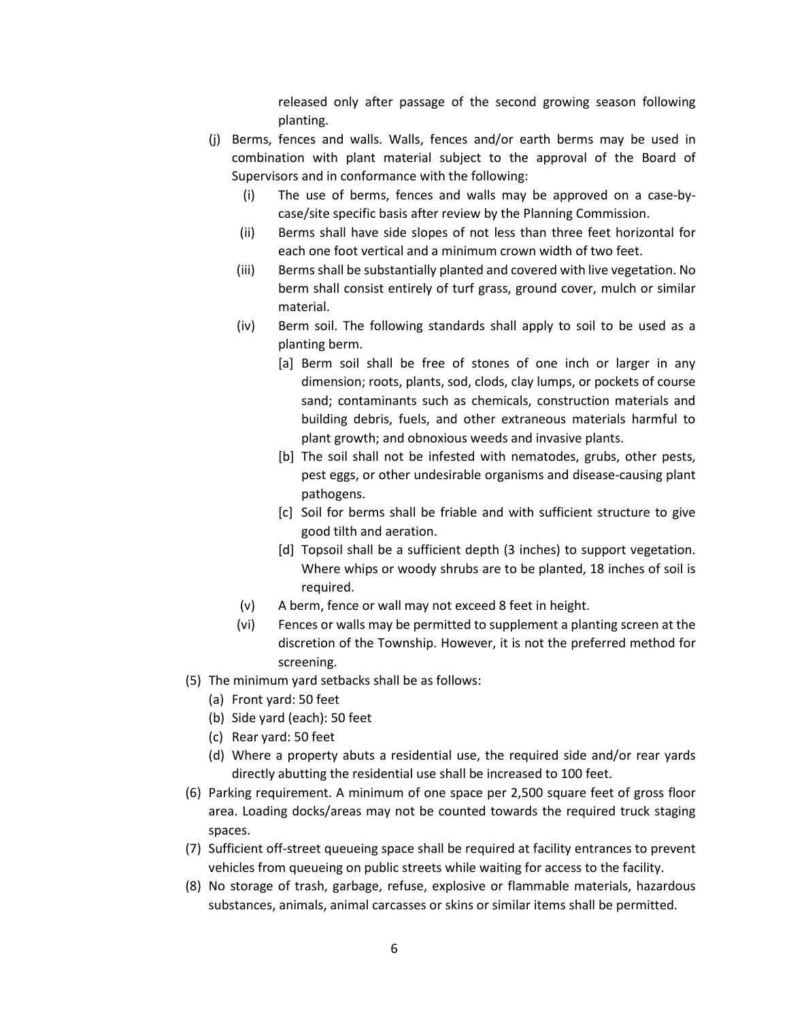released only after passage of the second growing season following planting.

- (j) Berms, fences and walls. Walls, fences and/or earth berms may be used in combination with plant material subject to the approval of the Board of Supervisors and in conformance with the following:
	- (i) The use of berms, fences and walls may be approved on a case-bycase/site specific basis after review by the Planning Commission.
	- (ii) Berms shall have side slopes of not less than three feet horizontal for each one foot vertical and a minimum crown width of two feet.
	- (iii) Berms shall be substantially planted and covered with live vegetation. No berm shall consist entirely of turf grass, ground cover, mulch or similar material.
	- (iv) Berm soil. The following standards shall apply to soil to be used as a planting berm.
		- [a] Berm soil shall be free of stones of one inch or larger in any dimension; roots, plants, sod, clods, clay lumps, or pockets of course sand; contaminants such as chemicals, construction materials and building debris, fuels, and other extraneous materials harmful to plant growth; and obnoxious weeds and invasive plants.
		- [b] The soil shall not be infested with nematodes, grubs, other pests, pest eggs, or other undesirable organisms and disease-causing plant pathogens.
		- [c] Soil for berms shall be friable and with sufficient structure to give good tilth and aeration.
		- [d] Topsoil shall be a sufficient depth (3 inches) to support vegetation. Where whips or woody shrubs are to be planted, 18 inches of soil is required.
	- (v) A berm, fence or wall may not exceed 8 feet in height.
	- (vi) Fences or walls may be permitted to supplement a planting screen at the discretion of the Township. However, it is not the preferred method for screening.
- (5) The minimum yard setbacks shall be as follows:
	- (a) Front yard: 50 feet
	- (b) Side yard (each): 50 feet
	- (c) Rear yard: 50 feet
	- (d) Where a property abuts a residential use, the required side and/or rear yards directly abutting the residential use shall be increased to 100 feet.
- (6) Parking requirement. A minimum of one space per 2,500 square feet of gross floor area. Loading docks/areas may not be counted towards the required truck staging spaces.
- (7) Sufficient off-street queueing space shall be required at facility entrances to prevent vehicles from queueing on public streets while waiting for access to the facility.
- (8) No storage of trash, garbage, refuse, explosive or flammable materials, hazardous substances, animals, animal carcasses or skins or similar items shall be permitted.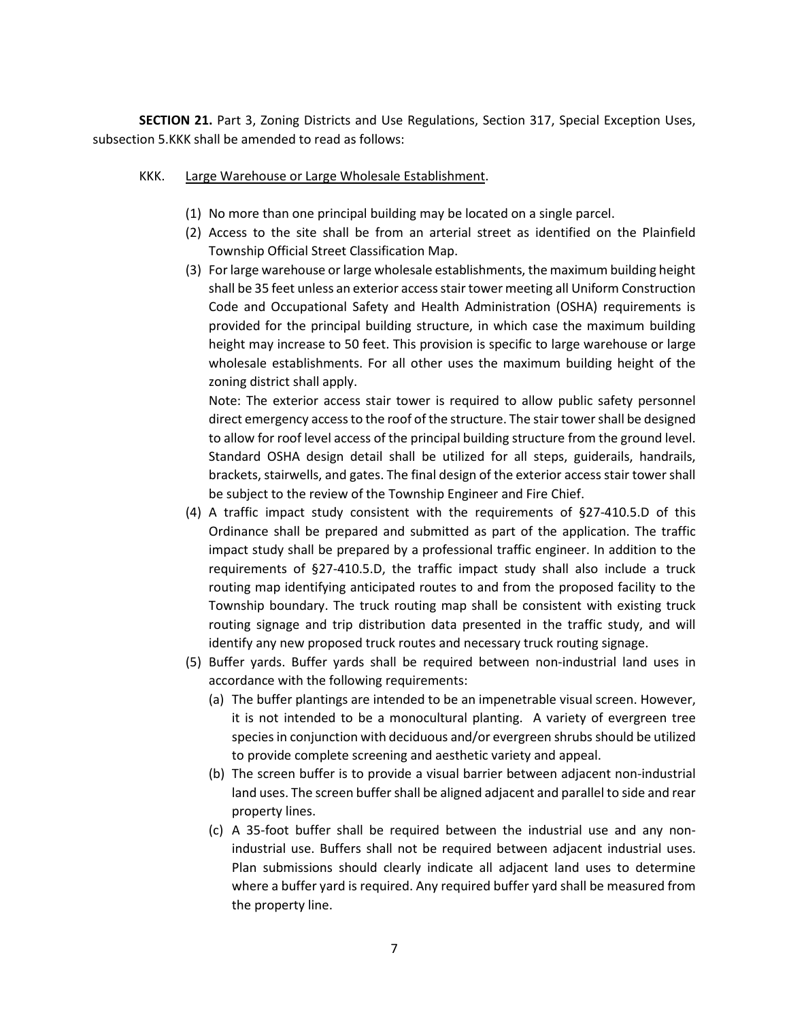**SECTION 21.** Part 3, Zoning Districts and Use Regulations, Section 317, Special Exception Uses, subsection 5.KKK shall be amended to read as follows:

- KKK. Large Warehouse or Large Wholesale Establishment.
	- (1) No more than one principal building may be located on a single parcel.
	- (2) Access to the site shall be from an arterial street as identified on the Plainfield Township Official Street Classification Map.
	- (3) For large warehouse or large wholesale establishments, the maximum building height shall be 35 feet unless an exterior access stair tower meeting all Uniform Construction Code and Occupational Safety and Health Administration (OSHA) requirements is provided for the principal building structure, in which case the maximum building height may increase to 50 feet. This provision is specific to large warehouse or large wholesale establishments. For all other uses the maximum building height of the zoning district shall apply.

Note: The exterior access stair tower is required to allow public safety personnel direct emergency access to the roof of the structure. The stair tower shall be designed to allow for roof level access of the principal building structure from the ground level. Standard OSHA design detail shall be utilized for all steps, guiderails, handrails, brackets, stairwells, and gates. The final design of the exterior access stair tower shall be subject to the review of the Township Engineer and Fire Chief.

- (4) A traffic impact study consistent with the requirements of §27-410.5.D of this Ordinance shall be prepared and submitted as part of the application. The traffic impact study shall be prepared by a professional traffic engineer. In addition to the requirements of §27-410.5.D, the traffic impact study shall also include a truck routing map identifying anticipated routes to and from the proposed facility to the Township boundary. The truck routing map shall be consistent with existing truck routing signage and trip distribution data presented in the traffic study, and will identify any new proposed truck routes and necessary truck routing signage.
- (5) Buffer yards. Buffer yards shall be required between non-industrial land uses in accordance with the following requirements:
	- (a) The buffer plantings are intended to be an impenetrable visual screen. However, it is not intended to be a monocultural planting. A variety of evergreen tree species in conjunction with deciduous and/or evergreen shrubs should be utilized to provide complete screening and aesthetic variety and appeal.
	- (b) The screen buffer is to provide a visual barrier between adjacent non-industrial land uses. The screen buffer shall be aligned adjacent and parallel to side and rear property lines.
	- (c) A 35-foot buffer shall be required between the industrial use and any nonindustrial use. Buffers shall not be required between adjacent industrial uses. Plan submissions should clearly indicate all adjacent land uses to determine where a buffer yard is required. Any required buffer yard shall be measured from the property line.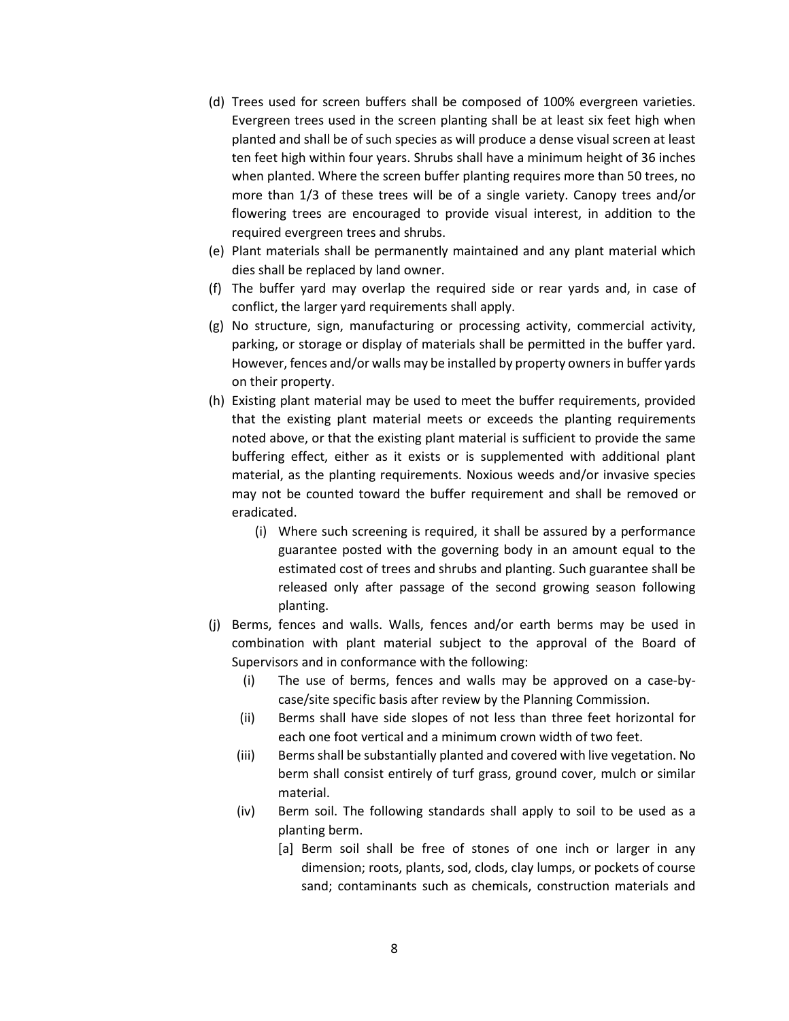- (d) Trees used for screen buffers shall be composed of 100% evergreen varieties. Evergreen trees used in the screen planting shall be at least six feet high when planted and shall be of such species as will produce a dense visual screen at least ten feet high within four years. Shrubs shall have a minimum height of 36 inches when planted. Where the screen buffer planting requires more than 50 trees, no more than 1/3 of these trees will be of a single variety. Canopy trees and/or flowering trees are encouraged to provide visual interest, in addition to the required evergreen trees and shrubs.
- (e) Plant materials shall be permanently maintained and any plant material which dies shall be replaced by land owner.
- (f) The buffer yard may overlap the required side or rear yards and, in case of conflict, the larger yard requirements shall apply.
- (g) No structure, sign, manufacturing or processing activity, commercial activity, parking, or storage or display of materials shall be permitted in the buffer yard. However, fences and/or walls may be installed by property owners in buffer yards on their property.
- (h) Existing plant material may be used to meet the buffer requirements, provided that the existing plant material meets or exceeds the planting requirements noted above, or that the existing plant material is sufficient to provide the same buffering effect, either as it exists or is supplemented with additional plant material, as the planting requirements. Noxious weeds and/or invasive species may not be counted toward the buffer requirement and shall be removed or eradicated.
	- (i) Where such screening is required, it shall be assured by a performance guarantee posted with the governing body in an amount equal to the estimated cost of trees and shrubs and planting. Such guarantee shall be released only after passage of the second growing season following planting.
- (j) Berms, fences and walls. Walls, fences and/or earth berms may be used in combination with plant material subject to the approval of the Board of Supervisors and in conformance with the following:
	- (i) The use of berms, fences and walls may be approved on a case-bycase/site specific basis after review by the Planning Commission.
	- (ii) Berms shall have side slopes of not less than three feet horizontal for each one foot vertical and a minimum crown width of two feet.
	- (iii) Berms shall be substantially planted and covered with live vegetation. No berm shall consist entirely of turf grass, ground cover, mulch or similar material.
	- (iv) Berm soil. The following standards shall apply to soil to be used as a planting berm.
		- [a] Berm soil shall be free of stones of one inch or larger in any dimension; roots, plants, sod, clods, clay lumps, or pockets of course sand; contaminants such as chemicals, construction materials and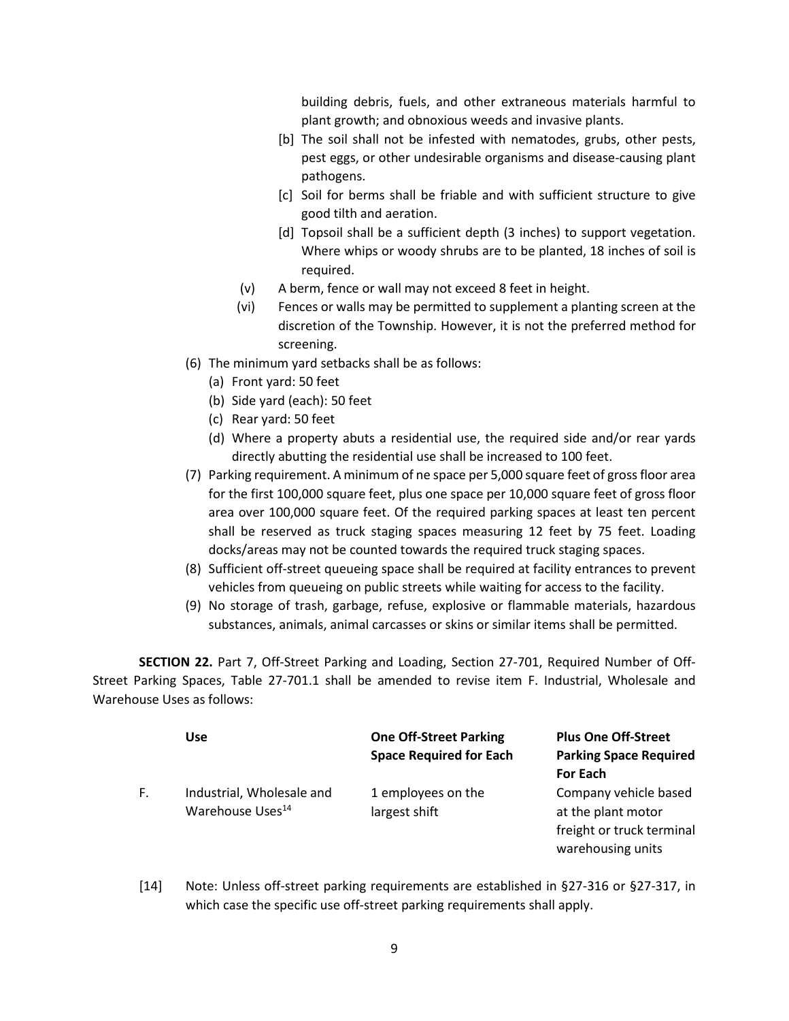building debris, fuels, and other extraneous materials harmful to plant growth; and obnoxious weeds and invasive plants.

- [b] The soil shall not be infested with nematodes, grubs, other pests, pest eggs, or other undesirable organisms and disease-causing plant pathogens.
- [c] Soil for berms shall be friable and with sufficient structure to give good tilth and aeration.
- [d] Topsoil shall be a sufficient depth (3 inches) to support vegetation. Where whips or woody shrubs are to be planted, 18 inches of soil is required.
- (v) A berm, fence or wall may not exceed 8 feet in height.
- (vi) Fences or walls may be permitted to supplement a planting screen at the discretion of the Township. However, it is not the preferred method for screening.
- (6) The minimum yard setbacks shall be as follows:
	- (a) Front yard: 50 feet
	- (b) Side yard (each): 50 feet
	- (c) Rear yard: 50 feet
	- (d) Where a property abuts a residential use, the required side and/or rear yards directly abutting the residential use shall be increased to 100 feet.
- (7) Parking requirement. A minimum of ne space per 5,000 square feet of gross floor area for the first 100,000 square feet, plus one space per 10,000 square feet of gross floor area over 100,000 square feet. Of the required parking spaces at least ten percent shall be reserved as truck staging spaces measuring 12 feet by 75 feet. Loading docks/areas may not be counted towards the required truck staging spaces.
- (8) Sufficient off-street queueing space shall be required at facility entrances to prevent vehicles from queueing on public streets while waiting for access to the facility.
- (9) No storage of trash, garbage, refuse, explosive or flammable materials, hazardous substances, animals, animal carcasses or skins or similar items shall be permitted.

**SECTION 22.** Part 7, Off-Street Parking and Loading, Section 27-701, Required Number of Off-Street Parking Spaces, Table 27-701.1 shall be amended to revise item F. Industrial, Wholesale and Warehouse Uses as follows:

|    | Use                                                       | <b>One Off-Street Parking</b><br><b>Space Required for Each</b> | <b>Plus One Off-Street</b><br><b>Parking Space Required</b><br><b>For Each</b>                |
|----|-----------------------------------------------------------|-----------------------------------------------------------------|-----------------------------------------------------------------------------------------------|
| F. | Industrial, Wholesale and<br>Warehouse Uses <sup>14</sup> | 1 employees on the<br>largest shift                             | Company vehicle based<br>at the plant motor<br>freight or truck terminal<br>warehousing units |

[14] Note: Unless off-street parking requirements are established in §27-316 or §27-317, in which case the specific use off-street parking requirements shall apply.